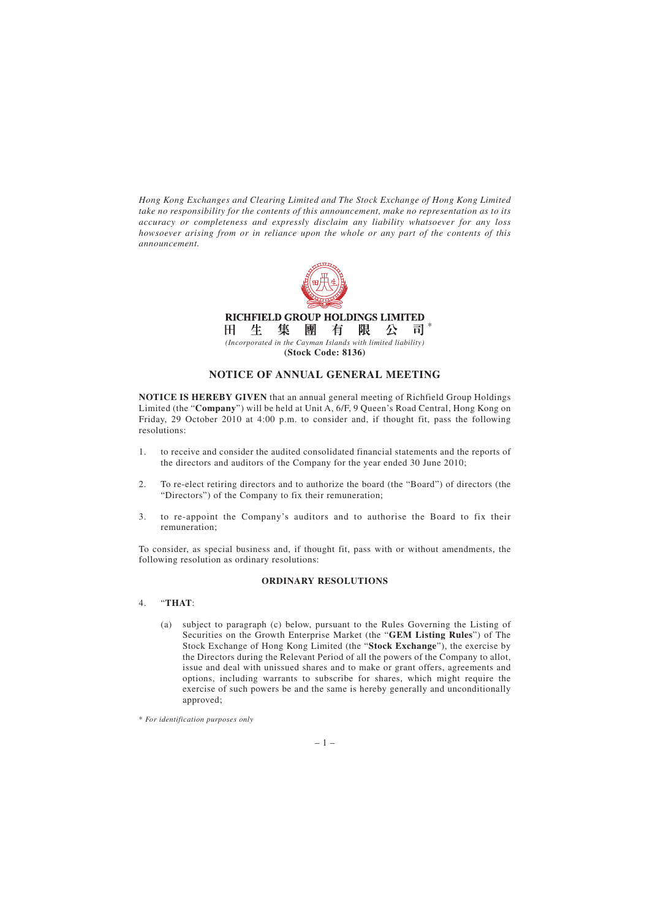*Hong Kong Exchanges and Clearing Limited and The Stock Exchange of Hong Kong Limited take no responsibility for the contents of this announcement, make no representation as to its accuracy or completeness and expressly disclaim any liability whatsoever for any loss howsoever arising from or in reliance upon the whole or any part of the contents of this announcement.*



# **NOTICE OF ANNUAL GENERAL MEETING**

**NOTICE IS HEREBY GIVEN** that an annual general meeting of Richfield Group Holdings Limited (the "**Company**") will be held at Unit A, 6/F, 9 Queen's Road Central, Hong Kong on Friday, 29 October 2010 at 4:00 p.m. to consider and, if thought fit, pass the following resolutions:

- 1. to receive and consider the audited consolidated financial statements and the reports of the directors and auditors of the Company for the year ended 30 June 2010;
- 2. To re-elect retiring directors and to authorize the board (the "Board") of directors (the "Directors") of the Company to fix their remuneration;
- 3. to re-appoint the Company's auditors and to authorise the Board to fix their remuneration;

To consider, as special business and, if thought fit, pass with or without amendments, the following resolution as ordinary resolutions:

### **ORDINARY RESOLUTIONS**

### 4. "**THAT**:

(a) subject to paragraph (c) below, pursuant to the Rules Governing the Listing of Securities on the Growth Enterprise Market (the "**GEM Listing Rules**") of The Stock Exchange of Hong Kong Limited (the "**Stock Exchange**"), the exercise by the Directors during the Relevant Period of all the powers of the Company to allot, issue and deal with unissued shares and to make or grant offers, agreements and options, including warrants to subscribe for shares, which might require the exercise of such powers be and the same is hereby generally and unconditionally approved;

<sup>\*</sup> *For identification purposes only*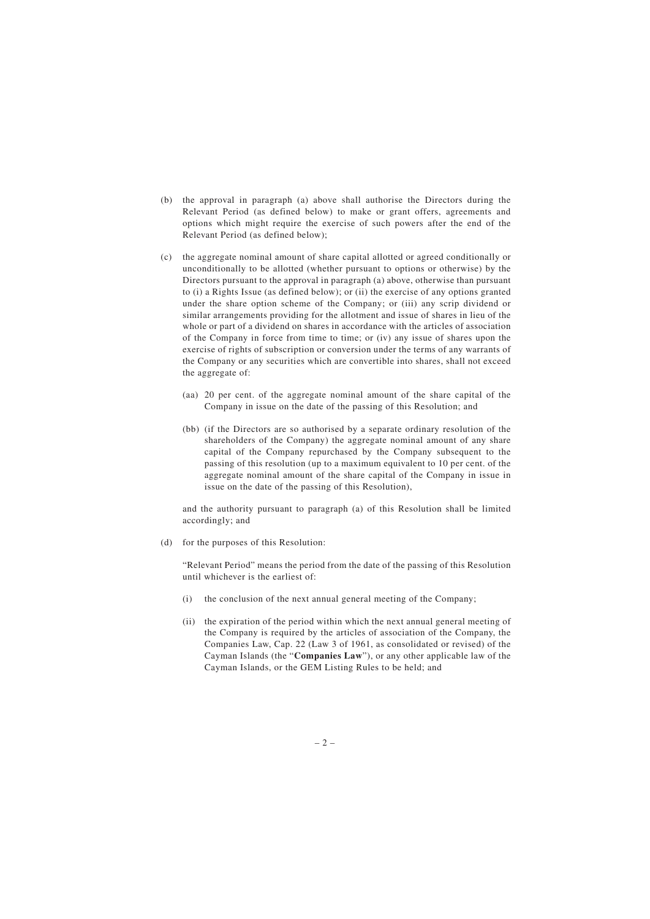- (b) the approval in paragraph (a) above shall authorise the Directors during the Relevant Period (as defined below) to make or grant offers, agreements and options which might require the exercise of such powers after the end of the Relevant Period (as defined below);
- (c) the aggregate nominal amount of share capital allotted or agreed conditionally or unconditionally to be allotted (whether pursuant to options or otherwise) by the Directors pursuant to the approval in paragraph (a) above, otherwise than pursuant to (i) a Rights Issue (as defined below); or (ii) the exercise of any options granted under the share option scheme of the Company; or (iii) any scrip dividend or similar arrangements providing for the allotment and issue of shares in lieu of the whole or part of a dividend on shares in accordance with the articles of association of the Company in force from time to time; or (iv) any issue of shares upon the exercise of rights of subscription or conversion under the terms of any warrants of the Company or any securities which are convertible into shares, shall not exceed the aggregate of:
	- (aa) 20 per cent. of the aggregate nominal amount of the share capital of the Company in issue on the date of the passing of this Resolution; and
	- (bb) (if the Directors are so authorised by a separate ordinary resolution of the shareholders of the Company) the aggregate nominal amount of any share capital of the Company repurchased by the Company subsequent to the passing of this resolution (up to a maximum equivalent to 10 per cent. of the aggregate nominal amount of the share capital of the Company in issue in issue on the date of the passing of this Resolution),

and the authority pursuant to paragraph (a) of this Resolution shall be limited accordingly; and

(d) for the purposes of this Resolution:

"Relevant Period" means the period from the date of the passing of this Resolution until whichever is the earliest of:

- (i) the conclusion of the next annual general meeting of the Company;
- (ii) the expiration of the period within which the next annual general meeting of the Company is required by the articles of association of the Company, the Companies Law, Cap. 22 (Law 3 of 1961, as consolidated or revised) of the Cayman Islands (the "**Companies Law**"), or any other applicable law of the Cayman Islands, or the GEM Listing Rules to be held; and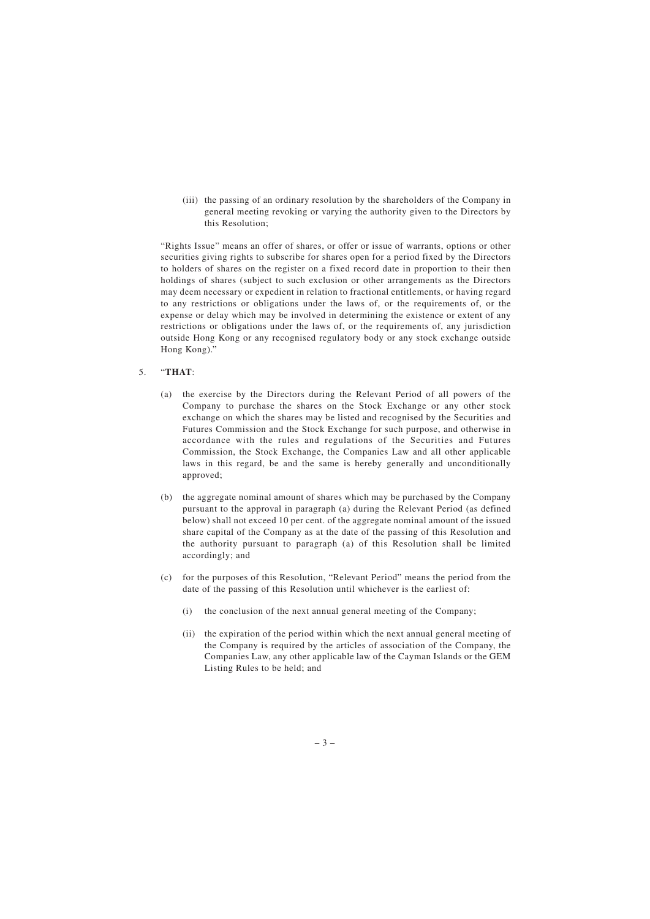(iii) the passing of an ordinary resolution by the shareholders of the Company in general meeting revoking or varying the authority given to the Directors by this Resolution;

"Rights Issue" means an offer of shares, or offer or issue of warrants, options or other securities giving rights to subscribe for shares open for a period fixed by the Directors to holders of shares on the register on a fixed record date in proportion to their then holdings of shares (subject to such exclusion or other arrangements as the Directors may deem necessary or expedient in relation to fractional entitlements, or having regard to any restrictions or obligations under the laws of, or the requirements of, or the expense or delay which may be involved in determining the existence or extent of any restrictions or obligations under the laws of, or the requirements of, any jurisdiction outside Hong Kong or any recognised regulatory body or any stock exchange outside Hong Kong)."

## 5. "**THAT**:

- (a) the exercise by the Directors during the Relevant Period of all powers of the Company to purchase the shares on the Stock Exchange or any other stock exchange on which the shares may be listed and recognised by the Securities and Futures Commission and the Stock Exchange for such purpose, and otherwise in accordance with the rules and regulations of the Securities and Futures Commission, the Stock Exchange, the Companies Law and all other applicable laws in this regard, be and the same is hereby generally and unconditionally approved;
- (b) the aggregate nominal amount of shares which may be purchased by the Company pursuant to the approval in paragraph (a) during the Relevant Period (as defined below) shall not exceed 10 per cent. of the aggregate nominal amount of the issued share capital of the Company as at the date of the passing of this Resolution and the authority pursuant to paragraph (a) of this Resolution shall be limited accordingly; and
- (c) for the purposes of this Resolution, "Relevant Period" means the period from the date of the passing of this Resolution until whichever is the earliest of:
	- (i) the conclusion of the next annual general meeting of the Company;
	- (ii) the expiration of the period within which the next annual general meeting of the Company is required by the articles of association of the Company, the Companies Law, any other applicable law of the Cayman Islands or the GEM Listing Rules to be held; and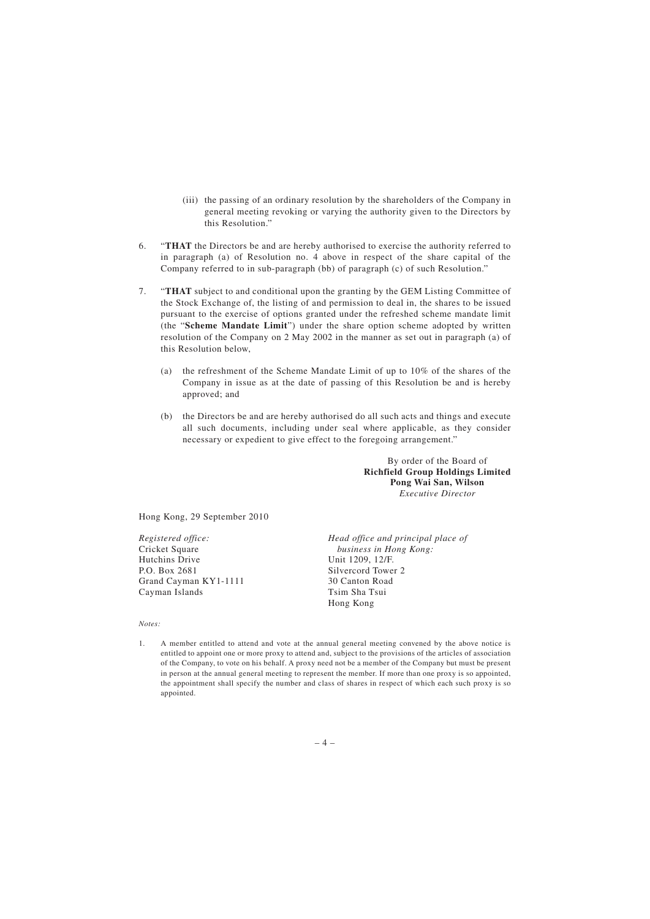- (iii) the passing of an ordinary resolution by the shareholders of the Company in general meeting revoking or varying the authority given to the Directors by this Resolution."
- 6. "**THAT** the Directors be and are hereby authorised to exercise the authority referred to in paragraph (a) of Resolution no. 4 above in respect of the share capital of the Company referred to in sub-paragraph (bb) of paragraph (c) of such Resolution."
- 7. "**THAT** subject to and conditional upon the granting by the GEM Listing Committee of the Stock Exchange of, the listing of and permission to deal in, the shares to be issued pursuant to the exercise of options granted under the refreshed scheme mandate limit (the "**Scheme Mandate Limit**") under the share option scheme adopted by written resolution of the Company on 2 May 2002 in the manner as set out in paragraph (a) of this Resolution below,
	- (a) the refreshment of the Scheme Mandate Limit of up to 10% of the shares of the Company in issue as at the date of passing of this Resolution be and is hereby approved; and
	- (b) the Directors be and are hereby authorised do all such acts and things and execute all such documents, including under seal where applicable, as they consider necessary or expedient to give effect to the foregoing arrangement."

By order of the Board of **Richfield Group Holdings Limited Pong Wai San, Wilson** *Executive Director*

Hong Kong, 29 September 2010

*Registered office:* Cricket Square Hutchins Drive P.O. Box 2681 Grand Cayman KY1-1111 Cayman Islands

*Head office and principal place of business in Hong Kong:* Unit 1209, 12/F. Silvercord Tower 2 30 Canton Road Tsim Sha Tsui Hong Kong

#### *Notes:*

1. A member entitled to attend and vote at the annual general meeting convened by the above notice is entitled to appoint one or more proxy to attend and, subject to the provisions of the articles of association of the Company, to vote on his behalf. A proxy need not be a member of the Company but must be present in person at the annual general meeting to represent the member. If more than one proxy is so appointed, the appointment shall specify the number and class of shares in respect of which each such proxy is so appointed.